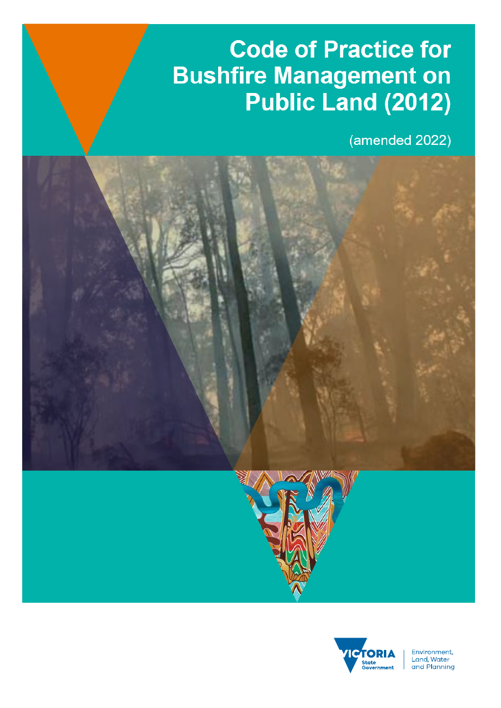# **Code of Practice for Bushfire Management for**  <u>Papel (2012)</u>

 $(amended 2022)$ 



Environment, Livitonmeric,<br>Land, Water<br>and Planning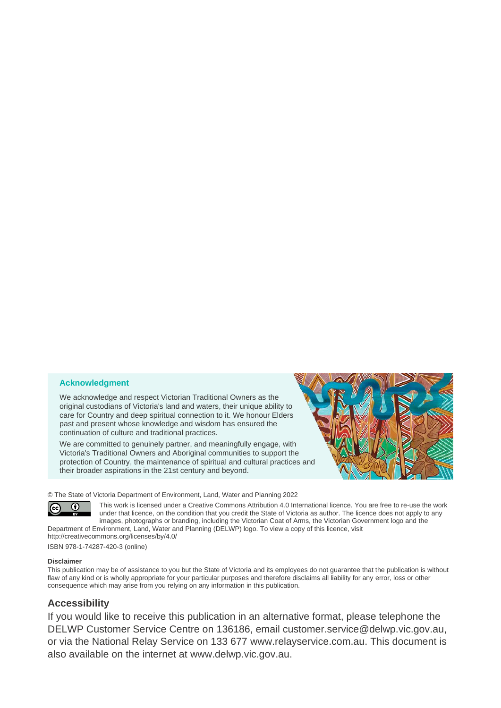#### **Acknowledgment**

We acknowledge and respect Victorian Traditional Owners as the original custodians of Victoria's land and waters, their unique ability to care for Country and deep spiritual connection to it. We honour Elders past and present whose knowledge and wisdom has ensured the continuation of culture and traditional practices.

We are committed to genuinely partner, and meaningfully engage, with Victoria's Traditional Owners and Aboriginal communities to support the protection of Country, the maintenance of spiritual and cultural practices and their broader aspirations in the 21st century and beyond.



© The State of Victoria Department of Environment, Land, Water and Planning 2022



This work is licensed under a Creative Commons Attribution 4.0 International licence. You are free to re-use the work under that licence, on the condition that you credit the State of Victoria as author. The licence does not apply to any images, photographs or branding, including the Victorian Coat of Arms, the Victorian Government logo and the Department of Environment, Land, Water and Planning (DELWP) logo. To view a copy of this licence, visit

<http://creativecommons.org/licenses/by/4.0/> ISBN 978-1-74287-420-3 (online)

#### **Disclaimer**

This publication may be of assistance to you but the State of Victoria and its employees do not guarantee that the publication is without flaw of any kind or is wholly appropriate for your particular purposes and therefore disclaims all liability for any error, loss or other consequence which may arise from you relying on any information in this publication.

## **Accessibility**

If you would like to receive this publication in an alternative format, please telephone the DELWP Customer Service Centre on 136186, email [customer.service@delwp.vic.gov.au,](mailto:customer.service@delwp.vic.gov.au) or via the National Relay Service on 133 677 [www.relayservice.com.au.](http://www.relayservice.com.au/) This document is also available on the internet at [www.delwp.vic.gov.au.](http://www.delwp.vic.gov.au/)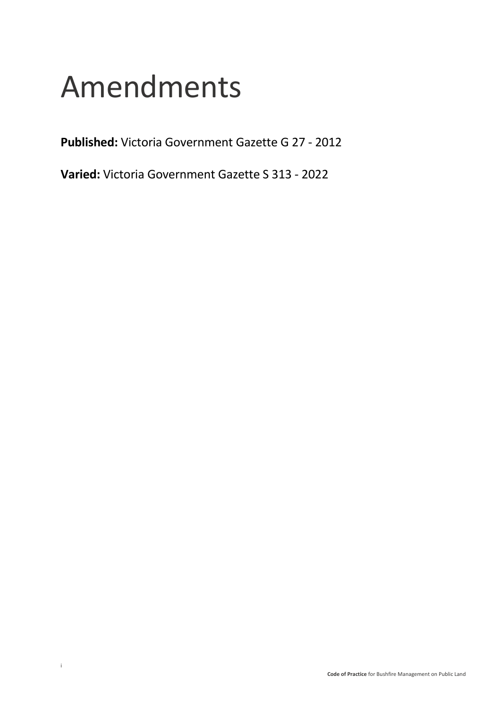# Amendments

**Published:** Victoria Government Gazette G 27 - 2012

**Varied:** Victoria Government Gazette S 313 - 2022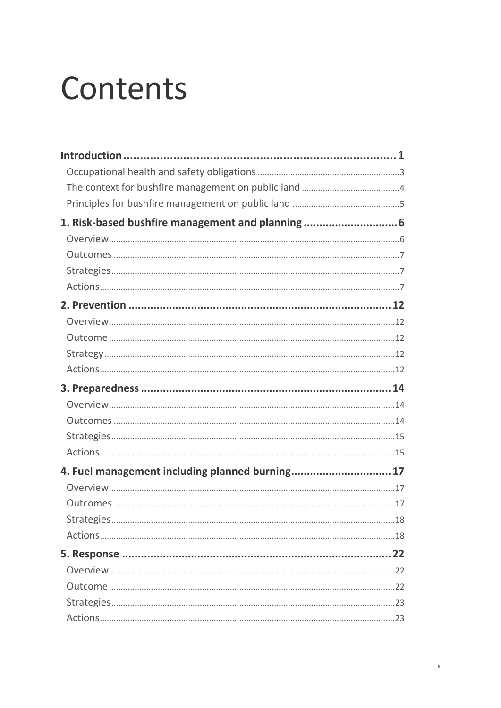# Contents

| 1. Risk-based bushfire management and planning  6 |  |
|---------------------------------------------------|--|
|                                                   |  |
|                                                   |  |
|                                                   |  |
|                                                   |  |
|                                                   |  |
|                                                   |  |
|                                                   |  |
|                                                   |  |
|                                                   |  |
|                                                   |  |
|                                                   |  |
|                                                   |  |
|                                                   |  |
|                                                   |  |
| 4. Fuel management including planned burning 17   |  |
|                                                   |  |
|                                                   |  |
|                                                   |  |
|                                                   |  |
|                                                   |  |
|                                                   |  |
|                                                   |  |
|                                                   |  |
|                                                   |  |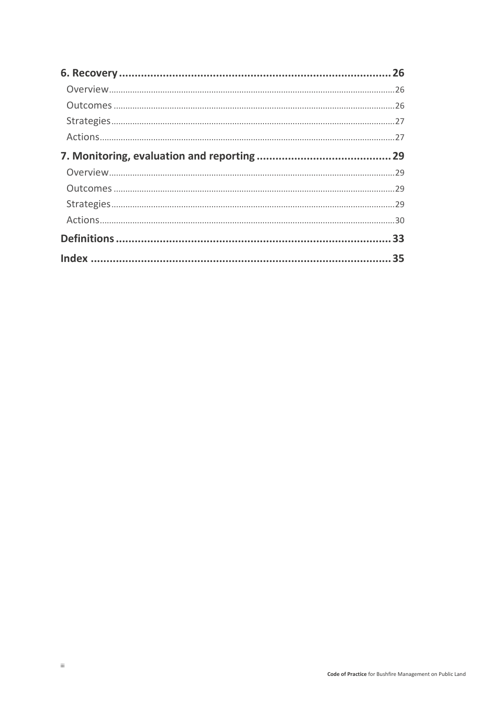| 26 |
|----|
|    |
|    |
|    |
|    |
|    |
|    |
|    |
|    |
|    |
|    |
|    |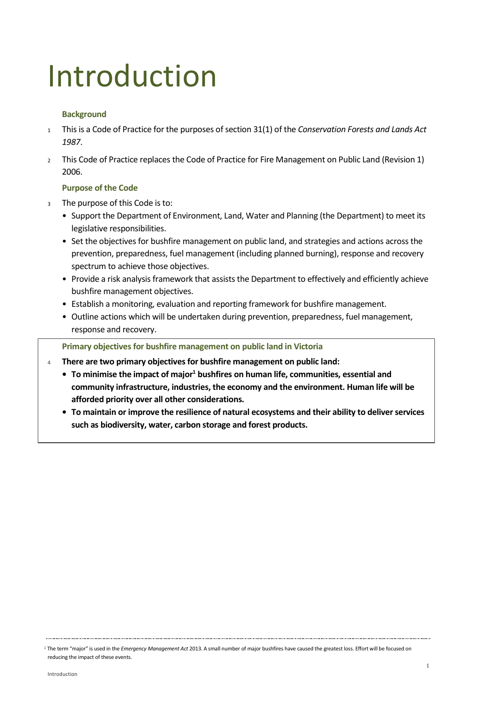# <span id="page-5-0"></span>Introduction

#### **Background**

- <sup>1</sup> This is a Code of Practice for the purposes of section 31(1) of the *Conservation Forests and Lands Act 1987*.
- <sup>2</sup> This Code of Practice replaces the Code of Practice for Fire Management on Public Land (Revision 1) 2006.

#### **Purpose of the Code**

- <sup>3</sup> The purpose of this Code is to:
	- Support the Department of Environment, Land, Water and Planning (the Department) to meet its legislative responsibilities.
	- Set the objectives for bushfire management on public land, and strategies and actions across the prevention, preparedness, fuel management (including planned burning), response and recovery spectrum to achieve those objectives.
	- Provide a risk analysis framework that assists the Department to effectively and efficiently achieve bushfire management objectives.
	- Establish a monitoring, evaluation and reporting framework for bushfire management.
	- Outline actions which will be undertaken during prevention, preparedness, fuel management, response and recovery.

**Primary objectives for bushfire management on public land in Victoria**

- <sup>4</sup> **There are two primary objectives for bushfire management on public land:**
	- **• To minimise the impact of major<sup>1</sup> bushfires on human life, communities, essential and community infrastructure, industries, the economy and the environment. Human life will be afforded priority over all other considerations.**
	- **• To maintain or improve the resilience of natural ecosystems and their ability to deliver services such as biodiversity, water, carbon storage and forest products.**

<sup>1</sup> The term "major" is used in the *Emergency Management Act* 2013. A small number of major bushfires have caused the greatest loss. Effort will be focused on reducing the impact of these events.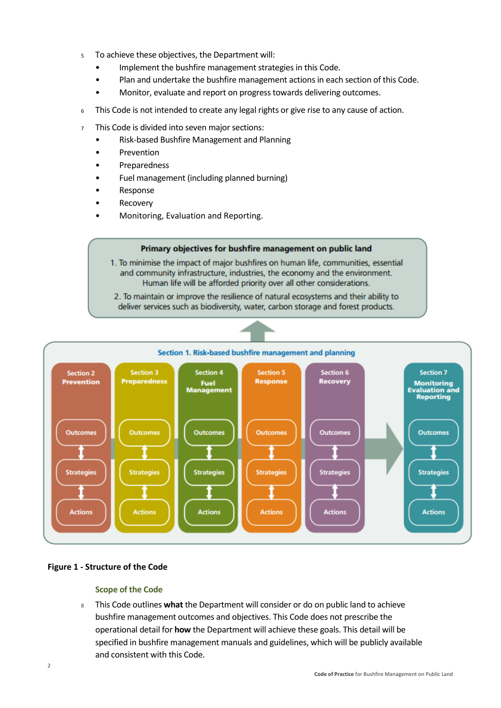- <sup>5</sup>To achieve these objectives, the Department will:
	- Implement the bushfire management strategies in this Code.
	- Plan and undertake the bushfire management actions in each section of this Code.
	- Monitor, evaluate and report on progress towards delivering outcomes.
- <sup>6</sup> This Code is not intended to create any legal rights or give rise to any cause of action.
- <sup>7</sup> This Code is divided into seven major sections:
	- Risk-based Bushfire Management and Planning
	- Prevention
	- **Preparedness**
	- Fuel management (including planned burning)
	- **Response**
	- **Recovery**
	- Monitoring, Evaluation and Reporting.

#### Primary objectives for bushfire management on public land

1. To minimise the impact of major bushfires on human life, communities, essential and community infrastructure, industries, the economy and the environment. Human life will be afforded priority over all other considerations.

2. To maintain or improve the resilience of natural ecosystems and their ability to deliver services such as biodiversity, water, carbon storage and forest products.



#### **Figure 1 - Structure of the Code**

#### **Scope of the Code**

<sup>8</sup> This Code outlines **what** the Department will consider or do on public land to achieve bushfire management outcomes and objectives. This Code does not prescribe the operational detail for **how** the Department will achieve these goals. This detail will be specified in bushfire management manuals and guidelines, which will be publicly available and consistent with this Code.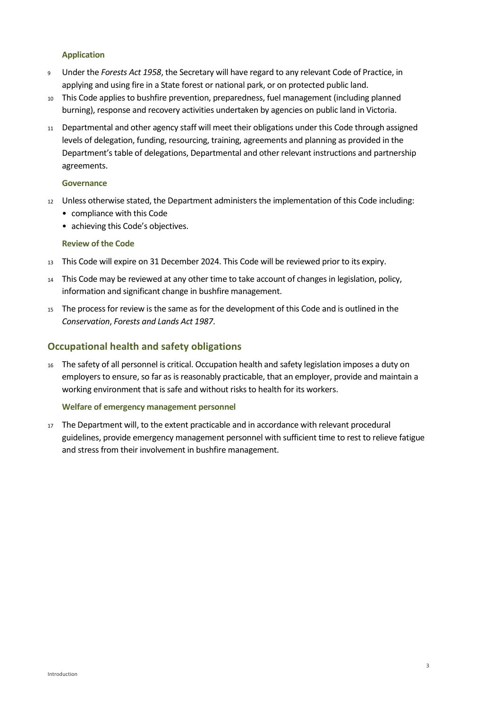#### **Application**

- <sup>9</sup> Under the *Forests Act 1958*, the Secretary will have regard to any relevant Code of Practice, in applying and using fire in a State forest or national park, or on protected public land.
- <sup>10</sup> This Code applies to bushfire prevention, preparedness, fuel management (including planned burning), response and recovery activities undertaken by agencies on public land in Victoria.
- <sup>11</sup> Departmental and other agency staff will meet their obligations under this Code through assigned levels of delegation, funding, resourcing, training, agreements and planning as provided in the Department's table of delegations, Departmental and other relevant instructions and partnership agreements.

#### **Governance**

- <sup>12</sup> Unless otherwise stated, the Department administers the implementation of this Code including:
	- compliance with this Code
	- achieving this Code's objectives.

#### **Review of the Code**

- <sup>13</sup> This Code will expire on 31 December 2024. This Code will be reviewed prior to its expiry.
- <sup>14</sup> This Code may be reviewed at any other time to take account of changes in legislation, policy, information and significant change in bushfire management.
- <sup>15</sup> The process for review is the same as for the development of this Code and is outlined in the *Conservation*, *Forests and Lands Act 1987*.

#### <span id="page-7-0"></span>**Occupational health and safety obligations**

<sup>16</sup> The safety of all personnel is critical. Occupation health and safety legislation imposes a duty on employers to ensure, so far as is reasonably practicable, that an employer, provide and maintain a working environment that is safe and without risks to health for its workers.

#### **Welfare of emergency management personnel**

<sup>17</sup> The Department will, to the extent practicable and in accordance with relevant procedural guidelines, provide emergency management personnel with sufficient time to rest to relieve fatigue and stress from their involvement in bushfire management.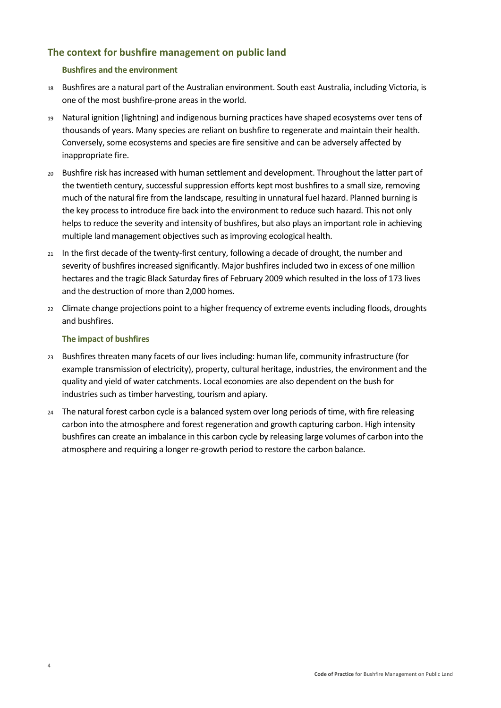# <span id="page-8-0"></span>**The context for bushfire management on public land**

#### **Bushfires and the environment**

- <sup>18</sup> Bushfires are a natural part of the Australian environment. South east Australia, including Victoria, is one of the most bushfire-prone areas in the world.
- <sup>19</sup> Natural ignition (lightning) and indigenous burning practices have shaped ecosystems over tens of thousands of years. Many species are reliant on bushfire to regenerate and maintain their health. Conversely, some ecosystems and species are fire sensitive and can be adversely affected by inappropriate fire.
- <sup>20</sup> Bushfire risk has increased with human settlement and development. Throughout the latter part of the twentieth century, successful suppression efforts kept most bushfires to a small size, removing much of the natural fire from the landscape, resulting in unnatural fuel hazard. Planned burning is the key process to introduce fire back into the environment to reduce such hazard. This not only helps to reduce the severity and intensity of bushfires, but also plays an important role in achieving multiple land management objectives such as improving ecological health.
- <sup>21</sup> In the first decade of the twenty-first century, following a decade of drought, the number and severity of bushfires increased significantly. Major bushfires included two in excess of one million hectares and the tragic Black Saturday fires of February 2009 which resulted in the loss of 173 lives and the destruction of more than 2,000 homes.
- <sup>22</sup> Climate change projections point to a higher frequency of extreme events including floods, droughts and bushfires.

#### **The impact of bushfires**

- <sup>23</sup> Bushfires threaten many facets of our lives including: human life, community infrastructure (for example transmission of electricity), property, cultural heritage, industries, the environment and the quality and yield of water catchments. Local economies are also dependent on the bush for industries such as timber harvesting, tourism and apiary.
- 24 The natural forest carbon cycle is a balanced system over long periods of time, with fire releasing carbon into the atmosphere and forest regeneration and growth capturing carbon. High intensity bushfires can create an imbalance in this carbon cycle by releasing large volumes of carbon into the atmosphere and requiring a longer re-growth period to restore the carbon balance.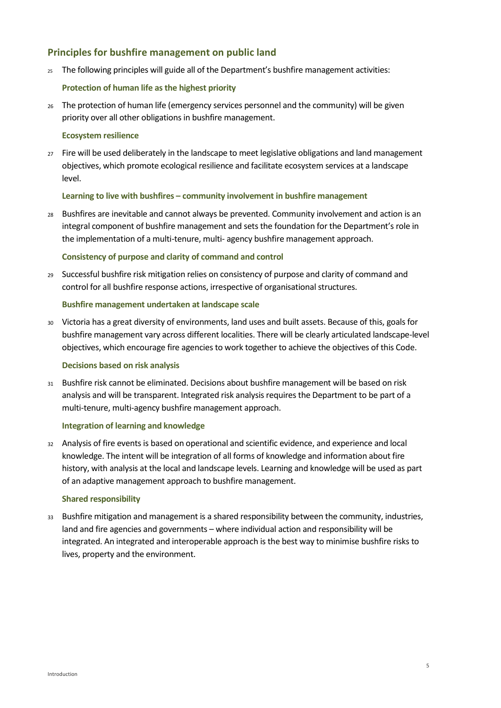### <span id="page-9-0"></span>**Principles for bushfire management on public land**

 $25$  The following principles will guide all of the Department's bushfire management activities:

#### **Protection of human life as the highest priority**

<sup>26</sup> The protection of human life (emergency services personnel and the community) will be given priority over all other obligations in bushfire management.

#### **Ecosystem resilience**

27 Fire will be used deliberately in the landscape to meet legislative obligations and land management objectives, which promote ecological resilience and facilitate ecosystem services at a landscape level.

#### **Learning to live with bushfires – community involvement in bushfire management**

<sup>28</sup> Bushfires are inevitable and cannot always be prevented. Community involvement and action is an integral component of bushfire management and sets the foundation for the Department's role in the implementation of a multi-tenure, multi- agency bushfire management approach.

#### **Consistency of purpose and clarity of command and control**

<sup>29</sup> Successful bushfire risk mitigation relies on consistency of purpose and clarity of command and control for all bushfire response actions, irrespective of organisational structures.

#### **Bushfire management undertaken at landscape scale**

<sup>30</sup> Victoria has a great diversity of environments, land uses and built assets. Because of this, goals for bushfire management vary across different localities. There will be clearly articulated landscape-level objectives, which encourage fire agencies to work together to achieve the objectives of this Code.

#### **Decisions based on risk analysis**

<sup>31</sup> Bushfire risk cannot be eliminated. Decisions about bushfire management will be based on risk analysis and will be transparent. Integrated risk analysis requires the Department to be part of a multi-tenure, multi-agency bushfire management approach.

#### **Integration of learning and knowledge**

<sup>32</sup> Analysis of fire events is based on operational and scientific evidence, and experience and local knowledge. The intent will be integration of all forms of knowledge and information about fire history, with analysis at the local and landscape levels. Learning and knowledge will be used as part of an adaptive management approach to bushfire management.

#### **Shared responsibility**

<sup>33</sup> Bushfire mitigation and management is a shared responsibility between the community, industries, land and fire agencies and governments – where individual action and responsibility will be integrated. An integrated and interoperable approach is the best way to minimise bushfire risks to lives, property and the environment.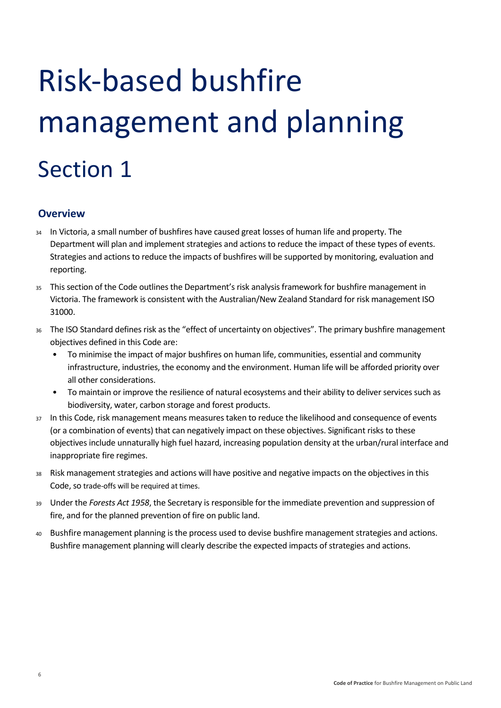# <span id="page-10-0"></span>Risk-based bushfire management and planning Section 1

# <span id="page-10-1"></span>**Overview**

- <sup>34</sup> In Victoria, a small number of bushfires have caused great losses of human life and property. The Department will plan and implement strategies and actions to reduce the impact of these types of events. Strategies and actions to reduce the impacts of bushfires will be supported by monitoring, evaluation and reporting.
- <sup>35</sup> This section of the Code outlines the Department's risk analysis framework for bushfire management in Victoria. The framework is consistent with the Australian/New Zealand Standard for risk management ISO 31000.
- <sup>36</sup> The ISO Standard defines risk as the "effect of uncertainty on objectives". The primary bushfire management objectives defined in this Code are:
	- To minimise the impact of major bushfires on human life, communities, essential and community infrastructure, industries, the economy and the environment. Human life will be afforded priority over all other considerations.
	- To maintain or improve the resilience of natural ecosystems and their ability to deliver services such as biodiversity, water, carbon storage and forest products.
- 37 In this Code, risk management means measures taken to reduce the likelihood and consequence of events (or a combination of events) that can negatively impact on these objectives. Significant risks to these objectives include unnaturally high fuel hazard, increasing population density at the urban/rural interface and inappropriate fire regimes.
- <sup>38</sup> Risk management strategies and actions will have positive and negative impacts on the objectives in this Code, so trade-offs will be required at times.
- <sup>39</sup> Under the *Forests Act 1958*, the Secretary is responsible for the immediate prevention and suppression of fire, and for the planned prevention of fire on public land.
- <sup>40</sup> Bushfire management planning is the process used to devise bushfire management strategies and actions. Bushfire management planning will clearly describe the expected impacts of strategies and actions.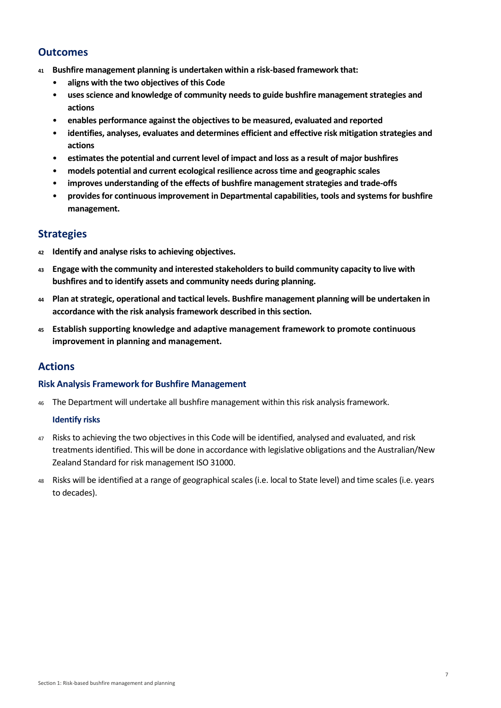# <span id="page-11-0"></span>**Outcomes**

- **<sup>41</sup> Bushfire management planning is undertaken within a risk-based framework that:**
	- **aligns with the two objectives of this Code**
	- **uses science and knowledge of community needs to guide bushfire management strategies and actions**
	- **enables performance against the objectives to be measured, evaluated and reported**
	- **identifies, analyses, evaluates and determines efficient and effective risk mitigation strategies and actions**
	- **estimates the potential and current level of impact and loss as a result of major bushfires**
	- **models potential and current ecological resilience across time and geographic scales**
	- **improves understanding of the effects of bushfire management strategies and trade-offs**
	- **provides for continuous improvement in Departmental capabilities, tools and systems for bushfire management.**

## <span id="page-11-1"></span>**Strategies**

- **<sup>42</sup> Identify and analyse risks to achieving objectives.**
- **<sup>43</sup> Engage with the community and interested stakeholders to build community capacity to live with bushfires and to identify assets and community needs during planning.**
- **<sup>44</sup> Plan at strategic, operational and tactical levels. Bushfire management planning will be undertaken in accordance with the risk analysis framework described in this section.**
- **<sup>45</sup>Establish supporting knowledge and adaptive management framework to promote continuous improvement in planning and management.**

# <span id="page-11-2"></span>**Actions**

#### **Risk Analysis Framework for Bushfire Management**

46 The Department will undertake all bushfire management within this risk analysis framework.

#### **Identify risks**

- <sup>47</sup> Risks to achieving the two objectives in this Code will be identified, analysed and evaluated, and risk treatments identified. This will be done in accordance with legislative obligations and the Australian/New Zealand Standard for risk management ISO 31000.
- <sup>48</sup> Risks will be identified at a range of geographical scales (i.e. local to State level) and time scales (i.e. years to decades).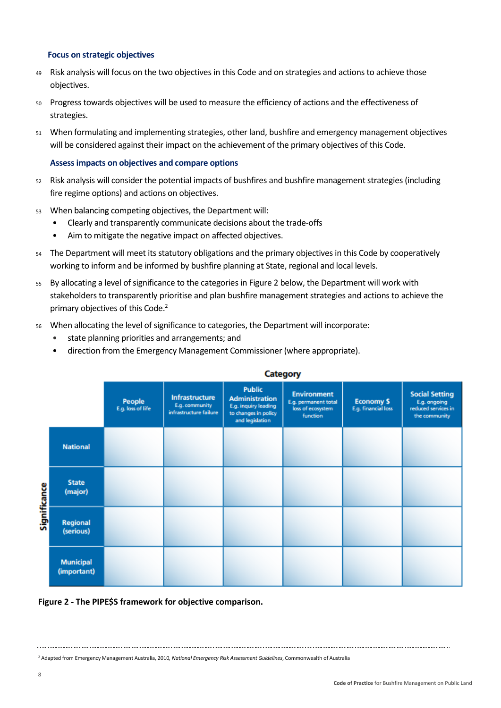#### **Focus on strategic objectives**

- <sup>49</sup> Risk analysis will focus on the two objectives in this Code and on strategies and actions to achieve those objectives.
- <sup>50</sup> Progress towards objectives will be used to measure the efficiency of actions and the effectiveness of strategies.
- <sup>51</sup> When formulating and implementing strategies, other land, bushfire and emergency management objectives will be considered against their impact on the achievement of the primary objectives of this Code.

#### **Assess impacts on objectives and compare options**

- <sup>52</sup> Risk analysis will consider the potential impacts of bushfires and bushfire management strategies (including fire regime options) and actions on objectives.
- <sup>53</sup> When balancing competing objectives, the Department will:
	- Clearly and transparently communicate decisions about the trade-offs
	- Aim to mitigate the negative impact on affected objectives.
- <sup>54</sup> The Department will meet its statutory obligations and the primary objectives in this Code by cooperatively working to inform and be informed by bushfire planning at State, regional and local levels.
- <sup>55</sup> By allocating a level of significance to the categories in Figure 2 below, the Department will work with stakeholders to transparently prioritise and plan bushfire management strategies and actions to achieve the primary objectives of this Code.<sup>2</sup>
- <sup>56</sup> When allocating the level of significance to categories, the Department will incorporate:
	- state planning priorities and arrangements; and
	- direction from the Emergency Management Commissioner (where appropriate).

|              |                                 | category                    |                                                                   |                                                                                                           |                                                                             |                                          |                                                                               |  |
|--------------|---------------------------------|-----------------------------|-------------------------------------------------------------------|-----------------------------------------------------------------------------------------------------------|-----------------------------------------------------------------------------|------------------------------------------|-------------------------------------------------------------------------------|--|
|              |                                 | People<br>E.g. loss of life | <b>Infrastructure</b><br>E.g. community<br>infrastructure failure | <b>Public</b><br><b>Administration</b><br>E.g. inquiry leading<br>to changes in policy<br>and legislation | <b>Environment</b><br>E.g. permanent total<br>loss of ecosystem<br>function | <b>Economy \$</b><br>E.g. financial loss | <b>Social Setting</b><br>E.g. ongoing<br>reduced services in<br>the community |  |
| Significance | <b>National</b>                 |                             |                                                                   |                                                                                                           |                                                                             |                                          |                                                                               |  |
|              | <b>State</b><br>(major)         |                             |                                                                   |                                                                                                           |                                                                             |                                          |                                                                               |  |
|              | Regional<br>(serious)           |                             |                                                                   |                                                                                                           |                                                                             |                                          |                                                                               |  |
|              | <b>Municipal</b><br>(important) |                             |                                                                   |                                                                                                           |                                                                             |                                          |                                                                               |  |

#### $P = 100$

**Figure 2 - The PIPE\$S framework for objective comparison.**

<sup>2</sup> Adapted from Emergency Management Australia, 2010*, National Emergency Risk Assessment Guidelines*, Commonwealth of Australia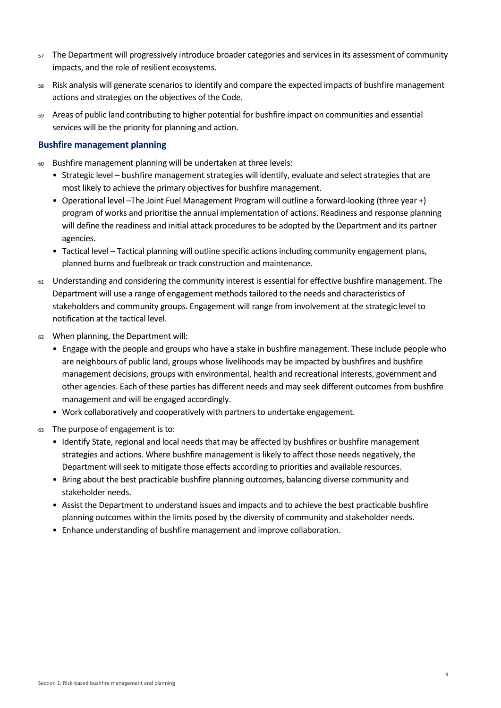- <sup>57</sup> The Department will progressively introduce broader categories and services in its assessment of community impacts, and the role of resilient ecosystems.
- <sup>58</sup> Risk analysis will generate scenarios to identify and compare the expected impacts of bushfire management actions and strategies on the objectives of the Code.
- <sup>59</sup> Areas of public land contributing to higher potential for bushfire impact on communities and essential services will be the priority for planning and action.

#### **Bushfire management planning**

- <sup>60</sup> Bushfire management planning will be undertaken at three levels:
	- Strategic level bushfire management strategies will identify, evaluate and select strategies that are most likely to achieve the primary objectives for bushfire management.
	- Operational level –The Joint Fuel Management Program will outline a forward-looking (three year +) program of works and prioritise the annual implementation of actions. Readiness and response planning will define the readiness and initial attack procedures to be adopted by the Department and its partner agencies.
	- Tactical level Tactical planning will outline specific actions including community engagement plans, planned burns and fuelbreak or track construction and maintenance.
- <sup>61</sup> Understanding and considering the community interest is essential for effective bushfire management. The Department will use a range of engagement methods tailored to the needs and characteristics of stakeholders and community groups. Engagement will range from involvement at the strategic level to notification at the tactical level.
- <sup>62</sup> When planning, the Department will:
	- Engage with the people and groups who have a stake in bushfire management. These include people who are neighbours of public land, groups whose livelihoods may be impacted by bushfires and bushfire management decisions, groups with environmental, health and recreational interests, government and other agencies. Each of these parties has different needs and may seek different outcomes from bushfire management and will be engaged accordingly.
	- Work collaboratively and cooperatively with partners to undertake engagement.
- <sup>63</sup> The purpose of engagement is to:
	- Identify State, regional and local needs that may be affected by bushfires or bushfire management strategies and actions. Where bushfire management is likely to affect those needs negatively, the Department will seek to mitigate those effects according to priorities and available resources.
	- Bring about the best practicable bushfire planning outcomes, balancing diverse community and stakeholder needs.
	- Assist the Department to understand issues and impacts and to achieve the best practicable bushfire planning outcomes within the limits posed by the diversity of community and stakeholder needs.
	- Enhance understanding of bushfire management and improve collaboration.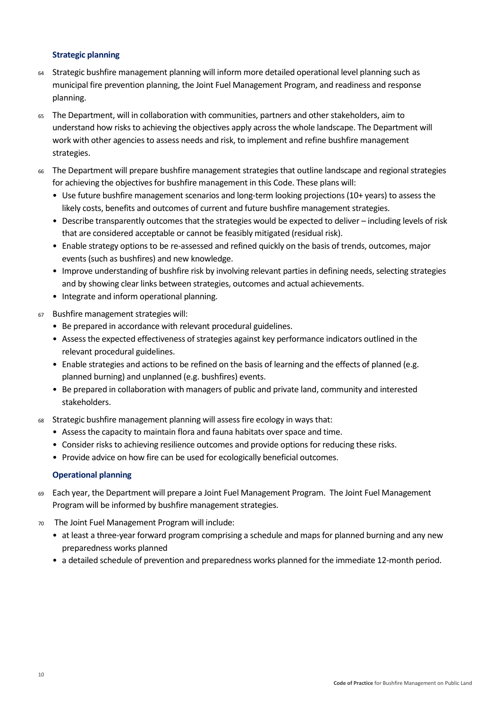#### **Strategic planning**

- <sup>64</sup> Strategic bushfire management planning will inform more detailed operational level planning such as municipal fire prevention planning, the Joint Fuel Management Program, and readiness and response planning.
- The Department, will in collaboration with communities, partners and other stakeholders, aim to understand how risks to achieving the objectives apply across the whole landscape. The Department will work with other agencies to assess needs and risk, to implement and refine bushfire management strategies.
- <sup>66</sup> The Department will prepare bushfire management strategies that outline landscape and regional strategies for achieving the objectives for bushfire management in this Code. These plans will:
	- Use future bushfire management scenarios and long-term looking projections (10+ years) to assess the likely costs, benefits and outcomes of current and future bushfire management strategies.
	- Describe transparently outcomes that the strategies would be expected to deliver including levels of risk that are considered acceptable or cannot be feasibly mitigated (residual risk).
	- Enable strategy options to be re-assessed and refined quickly on the basis of trends, outcomes, major events (such as bushfires) and new knowledge.
	- Improve understanding of bushfire risk by involving relevant parties in defining needs, selecting strategies and by showing clear links between strategies, outcomes and actual achievements.
	- Integrate and inform operational planning.
- <sup>67</sup> Bushfire management strategies will:
	- Be prepared in accordance with relevant procedural guidelines.
	- Assess the expected effectiveness of strategies against key performance indicators outlined in the relevant procedural guidelines.
	- Enable strategies and actions to be refined on the basis of learning and the effects of planned (e.g. planned burning) and unplanned (e.g. bushfires) events.
	- Be prepared in collaboration with managers of public and private land, community and interested stakeholders.
- <sup>68</sup> Strategic bushfire management planning will assess fire ecology in ways that:
	- Assess the capacity to maintain flora and fauna habitats over space and time.
	- Consider risks to achieving resilience outcomes and provide options for reducing these risks.
	- Provide advice on how fire can be used for ecologically beneficial outcomes.

#### **Operational planning**

- <sup>69</sup> Each year, the Department will prepare a Joint Fuel Management Program. The Joint Fuel Management Program will be informed by bushfire management strategies.
- <sup>70</sup> The Joint Fuel Management Program will include:
	- at least a three-year forward program comprising a schedule and maps for planned burning and any new preparedness works planned
	- a detailed schedule of prevention and preparedness works planned for the immediate 12-month period.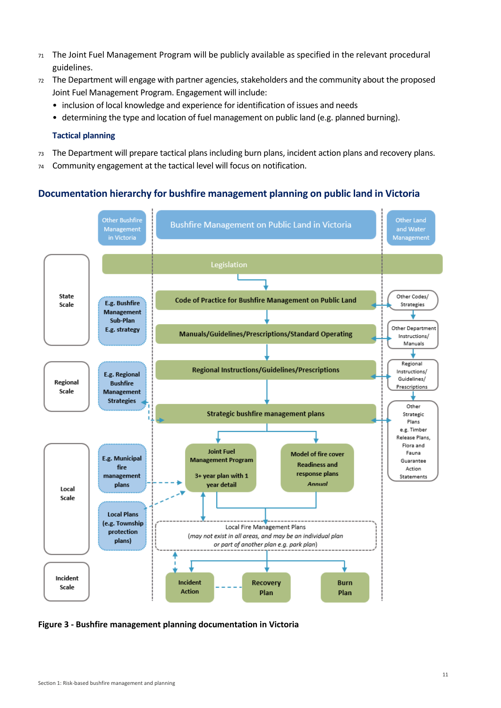- <sup>71</sup> The Joint Fuel Management Program will be publicly available as specified in the relevant procedural guidelines.
- <sup>72</sup> The Department will engage with partner agencies, stakeholders and the community about the proposed Joint Fuel Management Program. Engagement will include:
	- inclusion of local knowledge and experience for identification of issues and needs
	- determining the type and location of fuel management on public land (e.g. planned burning).

#### **Tactical planning**

- <sup>73</sup> The Department will prepare tactical plans including burn plans, incident action plans and recovery plans.
- <sup>74</sup> Community engagement at the tactical level will focus on notification.

### **Documentation hierarchy for bushfire management planning on public land in Victoria**



**Figure 3 - Bushfire management planning documentation in Victoria**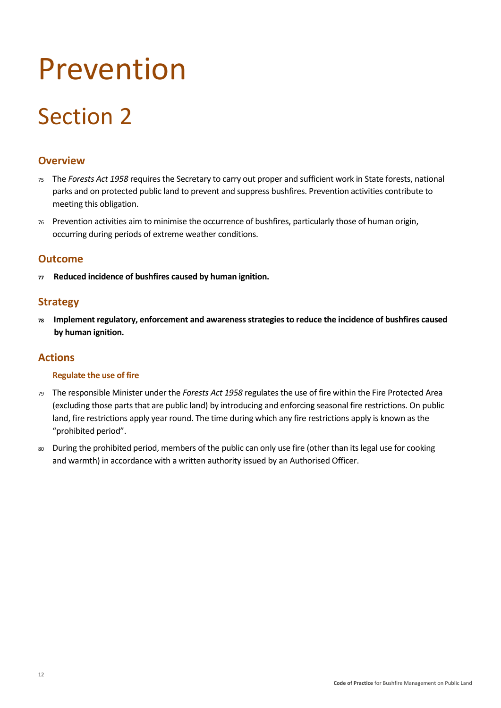# <span id="page-16-0"></span>Prevention

# Section 2

# <span id="page-16-1"></span>**Overview**

- <sup>75</sup> The *Forests Act 1958* requires the Secretary to carry out proper and sufficient work in State forests, national parks and on protected public land to prevent and suppress bushfires. Prevention activities contribute to meeting this obligation.
- <sup>76</sup> Prevention activities aim to minimise the occurrence of bushfires, particularly those of human origin, occurring during periods of extreme weather conditions.

## <span id="page-16-2"></span>**Outcome**

**<sup>77</sup> Reduced incidence of bushfires caused by human ignition.**

# <span id="page-16-3"></span>**Strategy**

**<sup>78</sup> Implement regulatory, enforcement and awareness strategies to reduce the incidence of bushfires caused by human ignition.**

# <span id="page-16-4"></span>**Actions**

#### **Regulate the use of fire**

- <sup>79</sup> The responsible Minister under the *Forests Act 1958* regulates the use of fire within the Fire Protected Area (excluding those parts that are public land) by introducing and enforcing seasonal fire restrictions. On public land, fire restrictions apply year round. The time during which any fire restrictions apply is known as the "prohibited period".
- 80 During the prohibited period, members of the public can only use fire (other than its legal use for cooking and warmth) in accordance with a written authority issued by an Authorised Officer.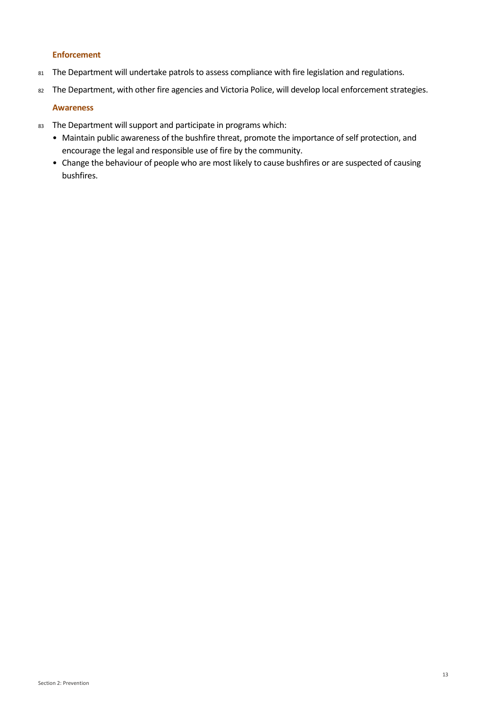#### **Enforcement**

- 81 The Department will undertake patrols to assess compliance with fire legislation and regulations.
- 82 The Department, with other fire agencies and Victoria Police, will develop local enforcement strategies.

#### **Awareness**

- 83 The Department will support and participate in programs which:
	- Maintain public awareness of the bushfire threat, promote the importance of self protection, and encourage the legal and responsible use of fire by the community.
	- Change the behaviour of people who are most likely to cause bushfires or are suspected of causing bushfires.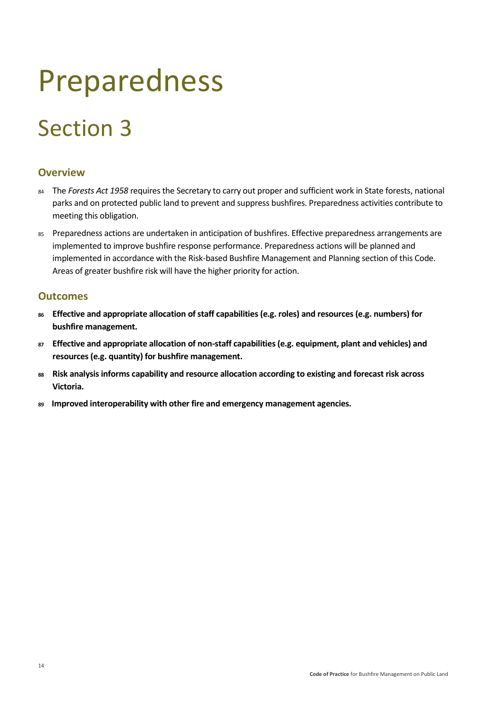# <span id="page-18-0"></span>Preparedness

# Section 3

# <span id="page-18-1"></span>**Overview**

- 84 The *Forests Act 1958* requires the Secretary to carry out proper and sufficient work in State forests, national parks and on protected public land to prevent and suppress bushfires. Preparedness activities contribute to meeting this obligation.
- <sup>85</sup> Preparedness actions are undertaken in anticipation of bushfires. Effective preparedness arrangements are implemented to improve bushfire response performance. Preparedness actions will be planned and implemented in accordance with the Risk-based Bushfire Management and Planning section of this Code. Areas of greater bushfire risk will have the higher priority for action.

# <span id="page-18-2"></span>**Outcomes**

- **<sup>86</sup> Effective and appropriate allocation of staff capabilities (e.g. roles) and resources (e.g. numbers) for bushfire management.**
- **<sup>87</sup> Effective and appropriate allocation of non-staff capabilities (e.g. equipment, plant and vehicles) and resources (e.g. quantity) for bushfire management.**
- **<sup>88</sup> Risk analysis informs capability and resource allocation according to existing and forecast risk across Victoria.**
- **89 Improved interoperability with other fire and emergency management agencies.**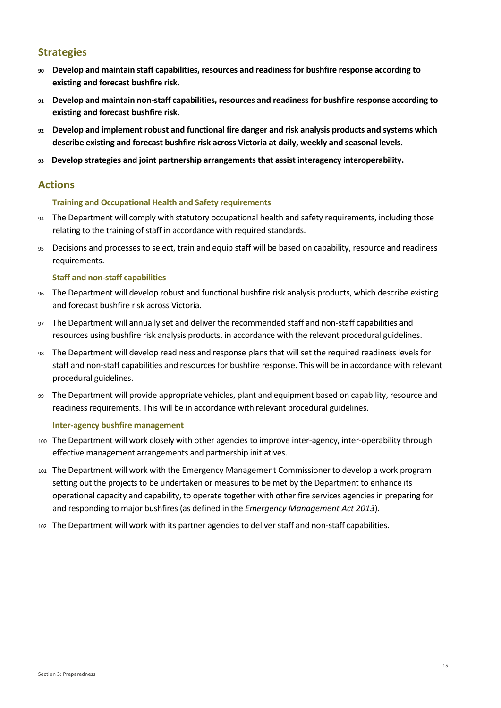# <span id="page-19-0"></span>**Strategies**

- **<sup>90</sup> Develop and maintain staff capabilities, resources and readiness for bushfire response according to existing and forecast bushfire risk.**
- **<sup>91</sup> Develop and maintain non-staff capabilities, resources and readiness for bushfire response according to existing and forecast bushfire risk.**
- **<sup>92</sup> Develop and implement robust and functional fire danger and risk analysis products and systems which describe existing and forecast bushfire risk across Victoria at daily, weekly and seasonal levels.**
- **<sup>93</sup> Develop strategies and joint partnership arrangements that assist interagency interoperability.**

## <span id="page-19-1"></span>**Actions**

#### **Training and Occupational Health and Safety requirements**

- 94 The Department will comply with statutory occupational health and safety requirements, including those relating to the training of staff in accordance with required standards.
- <sup>95</sup> Decisions and processes to select, train and equip staff will be based on capability, resource and readiness requirements.

#### **Staff and non-staff capabilities**

- <sup>96</sup> The Department will develop robust and functional bushfire risk analysis products, which describe existing and forecast bushfire risk across Victoria.
- <sup>97</sup> The Department will annually set and deliver the recommended staff and non-staff capabilities and resources using bushfire risk analysis products, in accordance with the relevant procedural guidelines.
- <sup>98</sup> The Department will develop readiness and response plans that will set the required readiness levels for staff and non-staff capabilities and resources for bushfire response. This will be in accordance with relevant procedural guidelines.
- <sup>99</sup> The Department will provide appropriate vehicles, plant and equipment based on capability, resource and readiness requirements. This will be in accordance with relevant procedural guidelines.

#### **Inter-agency bushfire management**

- <sup>100</sup> The Department will work closely with other agencies to improve inter-agency, inter-operability through effective management arrangements and partnership initiatives.
- <sup>101</sup> The Department will work with the Emergency Management Commissioner to develop a work program setting out the projects to be undertaken or measures to be met by the Department to enhance its operational capacity and capability, to operate together with other fire services agencies in preparing for and responding to major bushfires (as defined in the *Emergency Management Act 2013*).
- <sup>102</sup> The Department will work with its partner agencies to deliver staff and non-staff capabilities.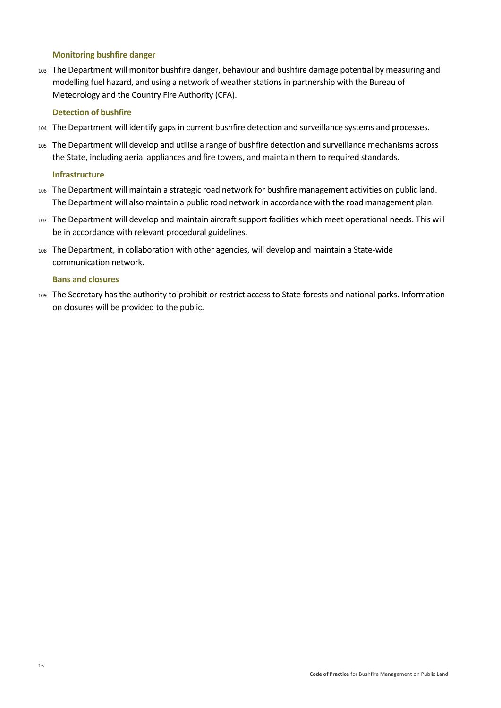#### **Monitoring bushfire danger**

<sup>103</sup> The Department will monitor bushfire danger, behaviour and bushfire damage potential by measuring and modelling fuel hazard, and using a network of weather stations in partnership with the Bureau of Meteorology and the Country Fire Authority (CFA).

#### **Detection of bushfire**

- <sup>104</sup> The Department will identify gaps in current bushfire detection and surveillance systems and processes.
- <sup>105</sup> The Department will develop and utilise a range of bushfire detection and surveillance mechanisms across the State, including aerial appliances and fire towers, and maintain them to required standards.

#### **Infrastructure**

- <sup>106</sup> The Department will maintain a strategic road network for bushfire management activities on public land. The Department will also maintain a public road network in accordance with the road management plan.
- <sup>107</sup> The Department will develop and maintain aircraft support facilities which meet operational needs. This will be in accordance with relevant procedural guidelines.
- <sup>108</sup> The Department, in collaboration with other agencies, will develop and maintain a State-wide communication network.

#### **Bans and closures**

<sup>109</sup> The Secretary has the authority to prohibit or restrict access to State forests and national parks. Information on closures will be provided to the public.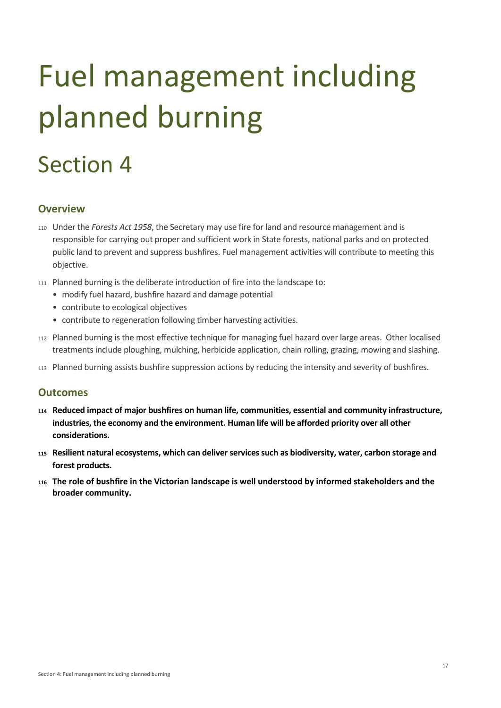# <span id="page-21-0"></span>Fuel management including planned burning

# Section 4

# <span id="page-21-1"></span>**Overview**

- <sup>110</sup> Under the *Forests Act 1958*, the Secretary may use fire for land and resource management and is responsible for carrying out proper and sufficient work in State forests, national parks and on protected public land to prevent and suppress bushfires. Fuel management activities will contribute to meeting this objective.
- <sup>111</sup> Planned burning is the deliberate introduction of fire into the landscape to:
	- modify fuel hazard, bushfire hazard and damage potential
	- contribute to ecological objectives
	- contribute to regeneration following timber harvesting activities.
- <sup>112</sup> Planned burning is the most effective technique for managing fuel hazard over large areas. Other localised treatments include ploughing, mulching, herbicide application, chain rolling, grazing, mowing and slashing.
- <sup>113</sup> Planned burning assists bushfire suppression actions by reducing the intensity and severity of bushfires.

## <span id="page-21-2"></span>**Outcomes**

- **<sup>114</sup> Reduced impact of major bushfires on human life, communities, essential and community infrastructure, industries, the economy and the environment. Human life will be afforded priority over all other considerations.**
- **<sup>115</sup> Resilient natural ecosystems, which can deliver services such as biodiversity, water, carbon storage and forest products.**
- **<sup>116</sup> The role of bushfire in the Victorian landscape is well understood by informed stakeholders and the broader community.**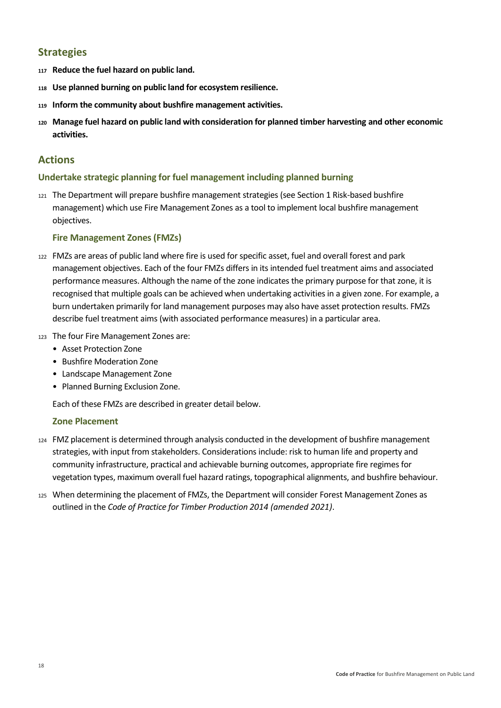# <span id="page-22-0"></span>**Strategies**

- **<sup>117</sup> Reduce the fuel hazard on public land.**
- **<sup>118</sup> Use planned burning on public land for ecosystem resilience.**
- **<sup>119</sup> Inform the community about bushfire management activities.**
- **<sup>120</sup> Manage fuel hazard on public land with consideration for planned timber harvesting and other economic activities.**

## <span id="page-22-1"></span>**Actions**

#### **Undertake strategic planning for fuel management including planned burning**

<sup>121</sup> The Department will prepare bushfire management strategies (see Section 1 Risk-based bushfire management) which use Fire Management Zones as a tool to implement local bushfire management objectives.

#### **Fire Management Zones (FMZs)**

- <sup>122</sup> FMZs are areas of public land where fire is used for specific asset, fuel and overall forest and park management objectives. Each of the four FMZs differs in its intended fuel treatment aims and associated performance measures. Although the name of the zone indicates the primary purpose for that zone, it is recognised that multiple goals can be achieved when undertaking activities in a given zone. For example, a burn undertaken primarily for land management purposes may also have asset protection results. FMZs describe fuel treatment aims (with associated performance measures) in a particular area.
- <sup>123</sup> The four Fire Management Zones are:
	- Asset Protection Zone
	- Bushfire Moderation Zone
	- Landscape Management Zone
	- Planned Burning Exclusion Zone.

Each of these FMZs are described in greater detail below.

#### **Zone Placement**

- <sup>124</sup> FMZ placement is determined through analysis conducted in the development of bushfire management strategies, with input from stakeholders. Considerations include: risk to human life and property and community infrastructure, practical and achievable burning outcomes, appropriate fire regimes for vegetation types, maximum overall fuel hazard ratings, topographical alignments, and bushfire behaviour.
- <sup>125</sup> When determining the placement of FMZs, the Department will consider Forest Management Zones as outlined in the *Code of Practice for Timber Production 2014 (amended 2021)*.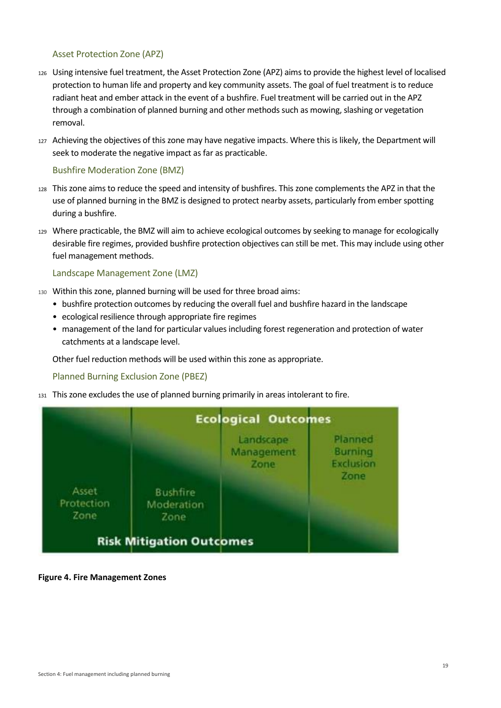#### Asset Protection Zone (APZ)

- <sup>126</sup> Using intensive fuel treatment, the Asset Protection Zone (APZ) aims to provide the highest level of localised protection to human life and property and key community assets. The goal of fuel treatment is to reduce radiant heat and ember attack in the event of a bushfire. Fuel treatment will be carried out in the APZ through a combination of planned burning and other methods such as mowing, slashing or vegetation removal.
- <sup>127</sup> Achieving the objectives of this zone may have negative impacts. Where this is likely, the Department will seek to moderate the negative impact as far as practicable.

#### Bushfire Moderation Zone (BMZ)

- <sup>128</sup> This zone aims to reduce the speed and intensity of bushfires. This zone complements the APZ in that the use of planned burning in the BMZ is designed to protect nearby assets, particularly from ember spotting during a bushfire.
- <sup>129</sup> Where practicable, the BMZ will aim to achieve ecological outcomes by seeking to manage for ecologically desirable fire regimes, provided bushfire protection objectives can still be met. This may include using other fuel management methods.

#### Landscape Management Zone (LMZ)

- <sup>130</sup> Within this zone, planned burning will be used for three broad aims:
	- bushfire protection outcomes by reducing the overall fuel and bushfire hazard in the landscape
	- ecological resilience through appropriate fire regimes
	- management of the land for particular values including forest regeneration and protection of water catchments at a landscape level.

Other fuel reduction methods will be used within this zone as appropriate.

#### Planned Burning Exclusion Zone (PBEZ)

<sup>131</sup> This zone excludes the use of planned burning primarily in areas intolerant to fire.



#### **Figure 4. Fire Management Zones**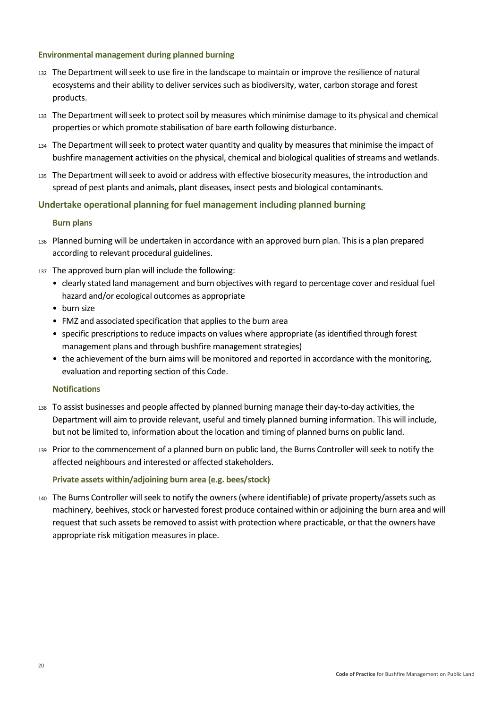#### **Environmental management during planned burning**

- <sup>132</sup> The Department will seek to use fire in the landscape to maintain or improve the resilience of natural ecosystems and their ability to deliver services such as biodiversity, water, carbon storage and forest products.
- <sup>133</sup> The Department will seek to protect soil by measures which minimise damage to its physical and chemical properties or which promote stabilisation of bare earth following disturbance.
- <sup>134</sup> The Department will seek to protect water quantity and quality by measures that minimise the impact of bushfire management activities on the physical, chemical and biological qualities of streams and wetlands.
- <sup>135</sup> The Department will seek to avoid or address with effective biosecurity measures, the introduction and spread of pest plants and animals, plant diseases, insect pests and biological contaminants.

#### **Undertake operational planning for fuel management including planned burning**

#### **Burn plans**

- <sup>136</sup> Planned burning will be undertaken in accordance with an approved burn plan. This is a plan prepared according to relevant procedural guidelines.
- 137 The approved burn plan will include the following:
	- clearly stated land management and burn objectives with regard to percentage cover and residual fuel hazard and/or ecological outcomes as appropriate
	- burn size
	- FMZ and associated specification that applies to the burn area
	- specific prescriptions to reduce impacts on values where appropriate (as identified through forest management plans and through bushfire management strategies)
	- the achievement of the burn aims will be monitored and reported in accordance with the monitoring, evaluation and reporting section of this Code.

#### **Notifications**

- <sup>138</sup> To assist businesses and people affected by planned burning manage their day-to-day activities, the Department will aim to provide relevant, useful and timely planned burning information. This will include, but not be limited to, information about the location and timing of planned burns on public land.
- <sup>139</sup> Prior to the commencement of a planned burn on public land, the Burns Controller will seek to notify the affected neighbours and interested or affected stakeholders.

#### **Private assets within/adjoining burn area (e.g. bees/stock)**

<sup>140</sup> The Burns Controller will seek to notify the owners (where identifiable) of private property/assets such as machinery, beehives, stock or harvested forest produce contained within or adjoining the burn area and will request that such assets be removed to assist with protection where practicable, or that the owners have appropriate risk mitigation measures in place.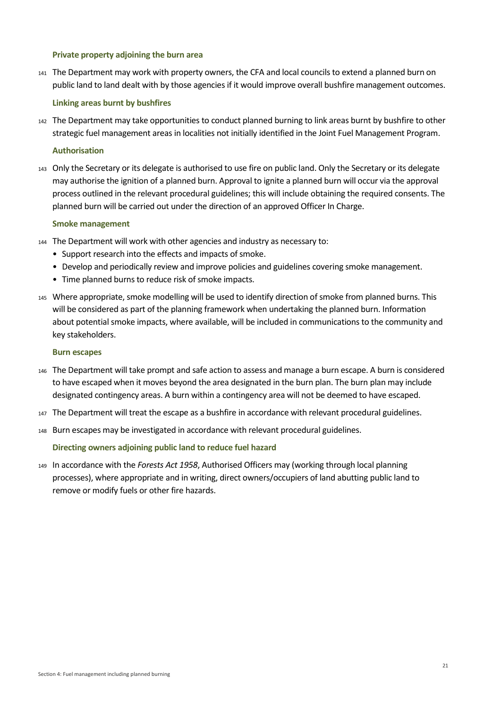#### **Private property adjoining the burn area**

<sup>141</sup> The Department may work with property owners, the CFA and local councils to extend a planned burn on public land to land dealt with by those agencies if it would improve overall bushfire management outcomes.

#### **Linking areas burnt by bushfires**

<sup>142</sup> The Department may take opportunities to conduct planned burning to link areas burnt by bushfire to other strategic fuel management areas in localities not initially identified in the Joint Fuel Management Program.

#### **Authorisation**

<sup>143</sup> Only the Secretary or its delegate is authorised to use fire on public land. Only the Secretary or its delegate may authorise the ignition of a planned burn. Approval to ignite a planned burn will occur via the approval process outlined in the relevant procedural guidelines; this will include obtaining the required consents. The planned burn will be carried out under the direction of an approved Officer In Charge.

#### **Smoke management**

- <sup>144</sup> The Department will work with other agencies and industry as necessary to:
	- Support research into the effects and impacts of smoke.
	- Develop and periodically review and improve policies and guidelines covering smoke management.
	- Time planned burns to reduce risk of smoke impacts.
- <sup>145</sup> Where appropriate, smoke modelling will be used to identify direction of smoke from planned burns. This will be considered as part of the planning framework when undertaking the planned burn. Information about potential smoke impacts, where available, will be included in communications to the community and key stakeholders.

#### **Burn escapes**

- <sup>146</sup> The Department will take prompt and safe action to assess and manage a burn escape. A burn is considered to have escaped when it moves beyond the area designated in the burn plan. The burn plan may include designated contingency areas. A burn within a contingency area will not be deemed to have escaped.
- <sup>147</sup> The Department will treat the escape as a bushfire in accordance with relevant procedural guidelines.
- <sup>148</sup> Burn escapes may be investigated in accordance with relevant procedural guidelines.

#### **Directing owners adjoining public land to reduce fuel hazard**

<sup>149</sup> In accordance with the *Forests Act 1958*, Authorised Officers may (working through local planning processes), where appropriate and in writing, direct owners/occupiers of land abutting public land to remove or modify fuels or other fire hazards.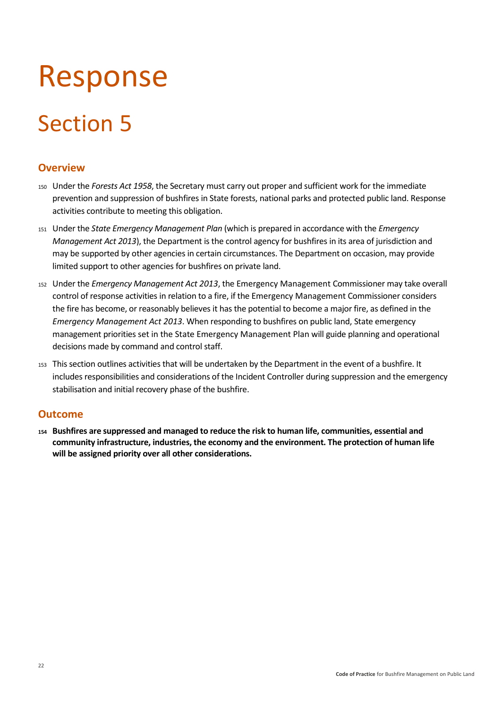# <span id="page-26-0"></span>Response

# Section 5

# <span id="page-26-1"></span>**Overview**

- <sup>150</sup> Under the *Forests Act 1958*, the Secretary must carry out proper and sufficient work for the immediate prevention and suppression of bushfires in State forests, national parks and protected public land. Response activities contribute to meeting this obligation.
- <sup>151</sup> Under the *State Emergency Management Plan* (which is prepared in accordance with the *Emergency Management Act 2013*), the Department is the control agency for bushfires in its area of jurisdiction and may be supported by other agencies in certain circumstances. The Department on occasion, may provide limited support to other agencies for bushfires on private land.
- <sup>152</sup> Under the *Emergency Management Act 2013*, the Emergency Management Commissioner may take overall control of response activities in relation to a fire, if the Emergency Management Commissioner considers the fire has become, or reasonably believes it has the potential to become a major fire, as defined in the *Emergency Management Act 2013*. When responding to bushfires on public land, State emergency management priorities set in the State Emergency Management Plan will guide planning and operational decisions made by command and control staff.
- <sup>153</sup> This section outlines activities that will be undertaken by the Department in the event of a bushfire. It includes responsibilities and considerations of the Incident Controller during suppression and the emergency stabilisation and initial recovery phase of the bushfire.

# <span id="page-26-2"></span>**Outcome**

**<sup>154</sup> Bushfires are suppressed and managed to reduce the risk to human life, communities, essential and community infrastructure, industries, the economy and the environment. The protection of human life will be assigned priority over all other considerations.**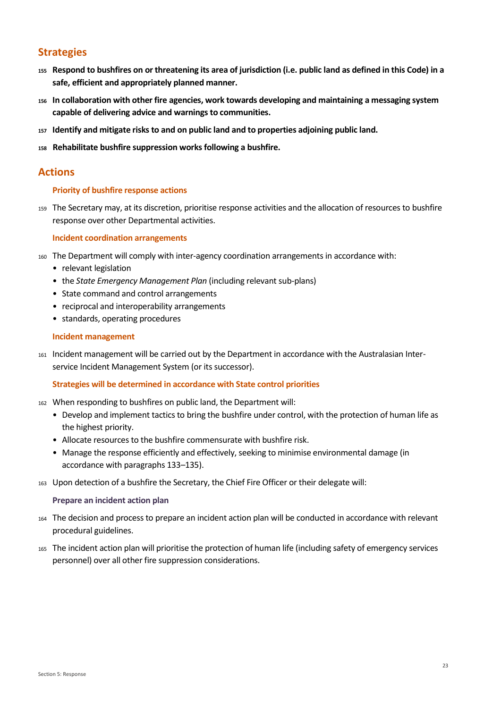# <span id="page-27-0"></span>**Strategies**

- **<sup>155</sup> Respond to bushfires on or threatening its area of jurisdiction (i.e. public land as defined in this Code) in a safe, efficient and appropriately planned manner.**
- **<sup>156</sup> In collaboration with other fire agencies, work towards developing and maintaining a messaging system capable of delivering advice and warnings to communities.**
- **<sup>157</sup> Identify and mitigate risks to and on public land and to properties adjoining public land.**
- **<sup>158</sup> Rehabilitate bushfire suppression works following a bushfire.**

### <span id="page-27-1"></span>**Actions**

#### **Priority of bushfire response actions**

<sup>159</sup> The Secretary may, at its discretion, prioritise response activities and the allocation of resources to bushfire response over other Departmental activities.

#### **Incident coordination arrangements**

- <sup>160</sup> The Department will comply with inter-agency coordination arrangements in accordance with:
	- relevant legislation
	- the *State Emergency Management Plan* (including relevant sub-plans)
	- State command and control arrangements
	- reciprocal and interoperability arrangements
	- standards, operating procedures

#### **Incident management**

<sup>161</sup> Incident management will be carried out by the Department in accordance with the Australasian Interservice Incident Management System (or its successor).

#### **Strategies will be determined in accordance with State control priorities**

- <sup>162</sup> When responding to bushfires on public land, the Department will:
	- Develop and implement tactics to bring the bushfire under control, with the protection of human life as the highest priority.
	- Allocate resources to the bushfire commensurate with bushfire risk.
	- Manage the response efficiently and effectively, seeking to minimise environmental damage (in accordance with paragraphs 133–135).
- <sup>163</sup> Upon detection of a bushfire the Secretary, the Chief Fire Officer or their delegate will:

#### **Prepare an incident action plan**

- <sup>164</sup> The decision and process to prepare an incident action plan will be conducted in accordance with relevant procedural guidelines.
- <sup>165</sup> The incident action plan will prioritise the protection of human life (including safety of emergency services personnel) over all other fire suppression considerations.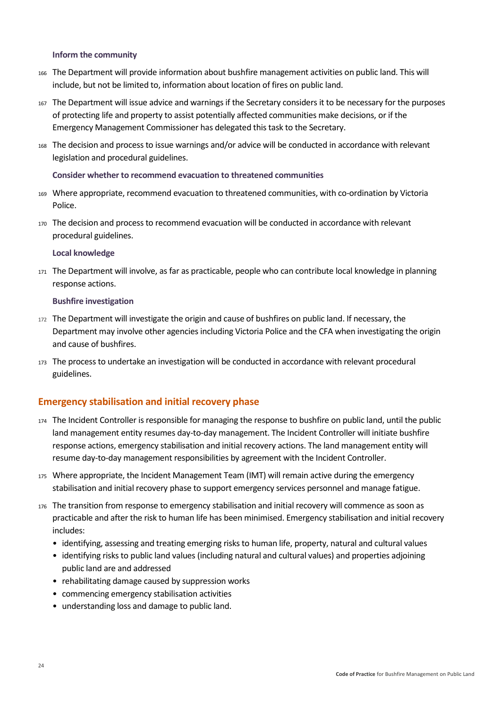#### **Inform the community**

- <sup>166</sup> The Department will provide information about bushfire management activities on public land. This will include, but not be limited to, information about location of fires on public land.
- <sup>167</sup> The Department will issue advice and warnings if the Secretary considers it to be necessary for the purposes of protecting life and property to assist potentially affected communities make decisions, or if the Emergency Management Commissioner has delegated this task to the Secretary.
- <sup>168</sup> The decision and process to issue warnings and/or advice will be conducted in accordance with relevant legislation and procedural guidelines.

#### **Consider whether to recommend evacuation to threatened communities**

- <sup>169</sup> Where appropriate, recommend evacuation to threatened communities, with co-ordination by Victoria Police.
- <sup>170</sup> The decision and process to recommend evacuation will be conducted in accordance with relevant procedural guidelines.

#### **Local knowledge**

<sup>171</sup> The Department will involve, as far as practicable, people who can contribute local knowledge in planning response actions.

#### **Bushfire investigation**

- <sup>172</sup> The Department will investigate the origin and cause of bushfires on public land. If necessary, the Department may involve other agencies including Victoria Police and the CFA when investigating the origin and cause of bushfires.
- <sup>173</sup> The process to undertake an investigation will be conducted in accordance with relevant procedural guidelines.

#### **Emergency stabilisation and initial recovery phase**

- <sup>174</sup> The Incident Controller is responsible for managing the response to bushfire on public land, until the public land management entity resumes day-to-day management. The Incident Controller will initiate bushfire response actions, emergency stabilisation and initial recovery actions. The land management entity will resume day-to-day management responsibilities by agreement with the Incident Controller.
- <sup>175</sup> Where appropriate, the Incident Management Team (IMT) will remain active during the emergency stabilisation and initial recovery phase to support emergency services personnel and manage fatigue.
- <sup>176</sup> The transition from response to emergency stabilisation and initial recovery will commence as soon as practicable and after the risk to human life has been minimised. Emergency stabilisation and initial recovery includes:
	- identifying, assessing and treating emerging risks to human life, property, natural and cultural values
	- identifying risks to public land values (including natural and cultural values) and properties adjoining public land are and addressed
	- rehabilitating damage caused by suppression works
	- commencing emergency stabilisation activities
	- understanding loss and damage to public land.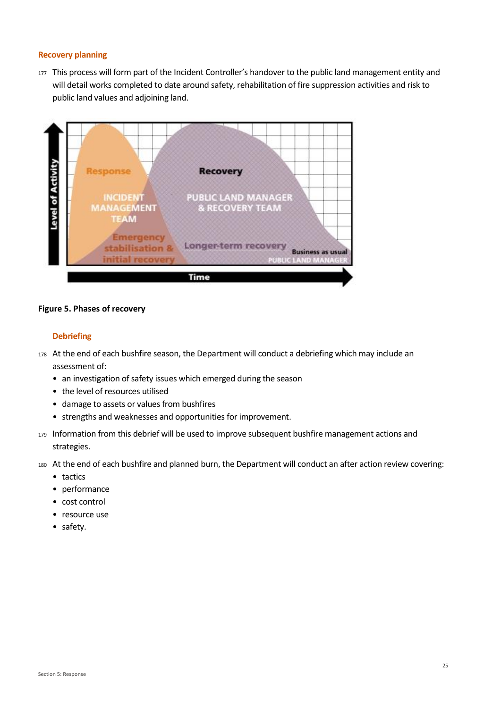#### **Recovery planning**

177 This process will form part of the Incident Controller's handover to the public land management entity and will detail works completed to date around safety, rehabilitation of fire suppression activities and risk to public land values and adjoining land.



#### **Figure 5. Phases of recovery**

#### **Debriefing**

- 178 At the end of each bushfire season, the Department will conduct a debriefing which may include an assessment of:
	- an investigation of safety issues which emerged during the season
	- the level of resources utilised
	- damage to assets or values from bushfires
	- strengths and weaknesses and opportunities for improvement.
- <sup>179</sup> Information from this debrief will be used to improve subsequent bushfire management actions and strategies.
- <sup>180</sup> At the end of each bushfire and planned burn, the Department will conduct an after action review covering:
	- tactics
	- performance
	- cost control
	- resource use
	- safety.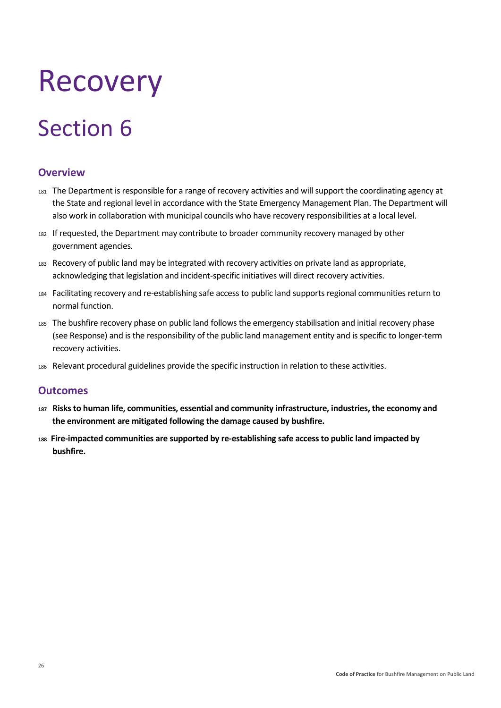# <span id="page-30-0"></span>Recovery

# Section 6

# <span id="page-30-1"></span>**Overview**

- <sup>181</sup> The Department is responsible for a range of recovery activities and will support the coordinating agency at the State and regional level in accordance with the State Emergency Management Plan. The Department will also work in collaboration with municipal councils who have recovery responsibilities at a local level.
- <sup>182</sup> If requested, the Department may contribute to broader community recovery managed by other government agencies*.*
- <sup>183</sup> Recovery of public land may be integrated with recovery activities on private land as appropriate, acknowledging that legislation and incident-specific initiatives will direct recovery activities.
- <sup>184</sup> Facilitating recovery and re-establishing safe access to public land supports regional communities return to normal function.
- <sup>185</sup> The bushfire recovery phase on public land follows the emergency stabilisation and initial recovery phase (see Response) and is the responsibility of the public land management entity and is specific to longer-term recovery activities.
- <sup>186</sup> Relevant procedural guidelines provide the specific instruction in relation to these activities.

## <span id="page-30-2"></span>**Outcomes**

- **<sup>187</sup> Risks to human life, communities, essential and community infrastructure, industries, the economy and the environment are mitigated following the damage caused by bushfire.**
- **<sup>188</sup>Fire-impacted communities are supported by re-establishing safe access to public land impacted by bushfire.**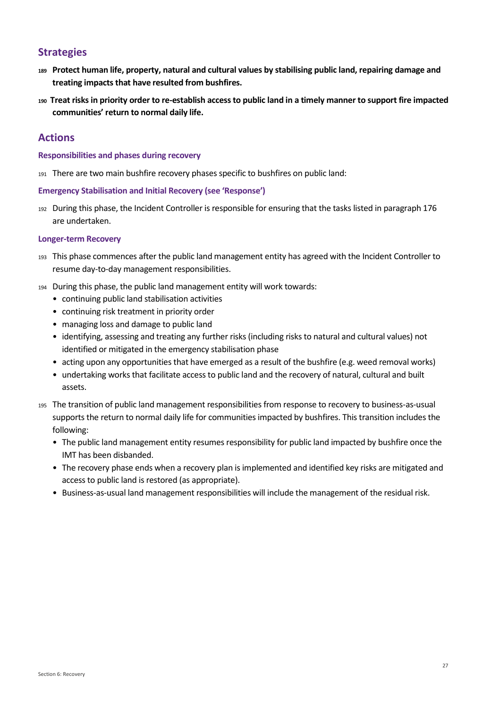# <span id="page-31-0"></span>**Strategies**

- **<sup>189</sup> Protect human life, property, natural and cultural values by stabilising public land, repairing damage and treating impacts that have resulted from bushfires.**
- **<sup>190</sup>Treat risks in priority order to re-establish access to public land in a timely manner to support fire impacted communities' return to normal daily life.**

### <span id="page-31-1"></span>**Actions**

#### **Responsibilities and phases during recovery**

<sup>191</sup> There are two main bushfire recovery phases specific to bushfires on public land:

#### **Emergency Stabilisation and Initial Recovery (see 'Response')**

<sup>192</sup> During this phase, the Incident Controller is responsible for ensuring that the tasks listed in paragraph 176 are undertaken.

#### **Longer-term Recovery**

- <sup>193</sup> This phase commences after the public land management entity has agreed with the Incident Controller to resume day-to-day management responsibilities.
- <sup>194</sup> During this phase, the public land management entity will work towards:
	- continuing public land stabilisation activities
	- continuing risk treatment in priority order
	- managing loss and damage to public land
	- identifying, assessing and treating any further risks (including risks to natural and cultural values) not identified or mitigated in the emergency stabilisation phase
	- acting upon any opportunities that have emerged as a result of the bushfire (e.g. weed removal works)
	- undertaking works that facilitate access to public land and the recovery of natural, cultural and built assets.
- <sup>195</sup> The transition of public land management responsibilities from response to recovery to business-as-usual supports the return to normal daily life for communities impacted by bushfires. This transition includes the following:
	- The public land management entity resumes responsibility for public land impacted by bushfire once the IMT has been disbanded.
	- The recovery phase ends when a recovery plan is implemented and identified key risks are mitigated and access to public land is restored (as appropriate).
	- Business-as-usual land management responsibilities will include the management of the residual risk.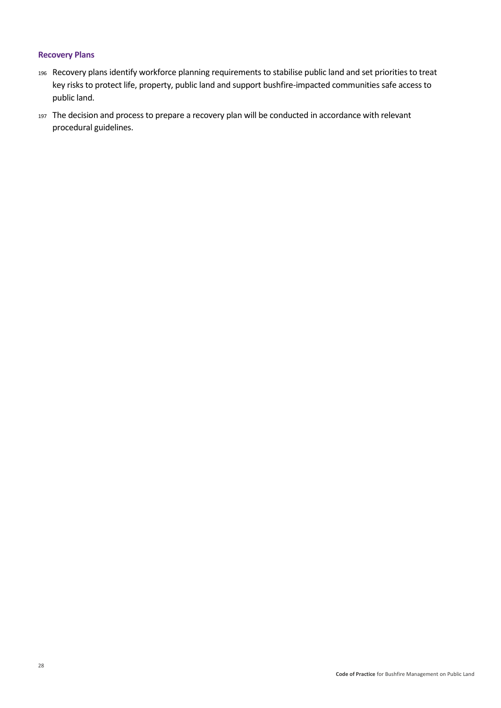#### **Recovery Plans**

- <sup>196</sup> Recovery plans identify workforce planning requirements to stabilise public land and set priorities to treat key risks to protect life, property, public land and support bushfire-impacted communities safe access to public land.
- 197 The decision and process to prepare a recovery plan will be conducted in accordance with relevant procedural guidelines.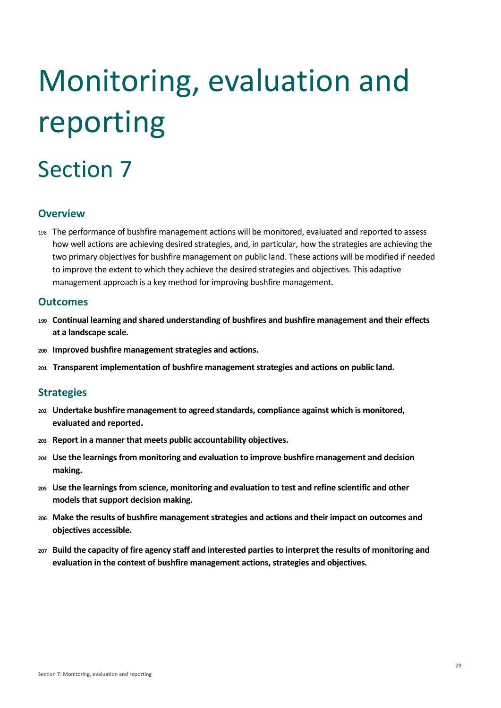# <span id="page-33-0"></span>Monitoring, evaluation and reporting

# Section 7

# <span id="page-33-1"></span>**Overview**

<sup>198</sup> The performance of bushfire management actions will be monitored, evaluated and reported to assess how well actions are achieving desired strategies, and, in particular, how the strategies are achieving the two primary objectives for bushfire management on public land. These actions will be modified if needed to improve the extent to which they achieve the desired strategies and objectives. This adaptive management approach is a key method for improving bushfire management.

## <span id="page-33-2"></span>**Outcomes**

- **<sup>199</sup> Continual learning and shared understanding of bushfires and bushfire management and their effects at a landscape scale.**
- **<sup>200</sup> Improved bushfire management strategies and actions.**
- **<sup>201</sup> Transparent implementation of bushfire management strategies and actions on public land.**

## <span id="page-33-3"></span>**Strategies**

- **<sup>202</sup> Undertake bushfire management to agreed standards, compliance against which is monitored, evaluated and reported.**
- **<sup>203</sup> Report in a manner that meets public accountability objectives.**
- **<sup>204</sup> Use the learnings from monitoring and evaluation to improve bushfire management and decision making.**
- **<sup>205</sup> Use the learnings from science, monitoring and evaluation to test and refine scientific and other models that support decision making.**
- **<sup>206</sup> Make the results of bushfire management strategies and actions and their impact on outcomes and objectives accessible.**
- **<sup>207</sup> Build the capacity of fire agency staff and interested parties to interpret the results of monitoring and evaluation in the context of bushfire management actions, strategies and objectives.**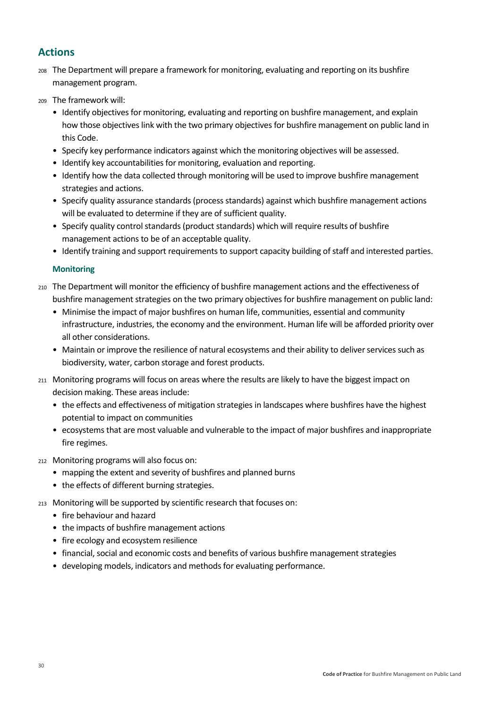# <span id="page-34-0"></span>**Actions**

- <sup>208</sup> The Department will prepare a framework for monitoring, evaluating and reporting on its bushfire management program.
- <sup>209</sup> The framework will:
	- Identify objectives for monitoring, evaluating and reporting on bushfire management, and explain how those objectives link with the two primary objectives for bushfire management on public land in this Code.
	- Specify key performance indicators against which the monitoring objectives will be assessed.
	- Identify key accountabilities for monitoring, evaluation and reporting.
	- Identify how the data collected through monitoring will be used to improve bushfire management strategies and actions.
	- Specify quality assurance standards (process standards) against which bushfire management actions will be evaluated to determine if they are of sufficient quality.
	- Specify quality control standards (product standards) which will require results of bushfire management actions to be of an acceptable quality.
	- Identify training and support requirements to support capacity building of staff and interested parties.

#### **Monitoring**

- <sup>210</sup> The Department will monitor the efficiency of bushfire management actions and the effectiveness of bushfire management strategies on the two primary objectives for bushfire management on public land:
	- Minimise the impact of major bushfires on human life, communities, essential and community infrastructure, industries, the economy and the environment. Human life will be afforded priority over all other considerations.
	- Maintain or improve the resilience of natural ecosystems and their ability to deliver services such as biodiversity, water, carbon storage and forest products.
- <sup>211</sup> Monitoring programs will focus on areas where the results are likely to have the biggest impact on decision making. These areas include:
	- the effects and effectiveness of mitigation strategies in landscapes where bushfires have the highest potential to impact on communities
	- ecosystems that are most valuable and vulnerable to the impact of major bushfires and inappropriate fire regimes.
- <sup>212</sup> Monitoring programs will also focus on:
	- mapping the extent and severity of bushfires and planned burns
	- the effects of different burning strategies.
- <sup>213</sup> Monitoring will be supported by scientific research that focuses on:
	- fire behaviour and hazard
	- the impacts of bushfire management actions
	- fire ecology and ecosystem resilience
	- financial, social and economic costs and benefits of various bushfire management strategies
	- developing models, indicators and methods for evaluating performance.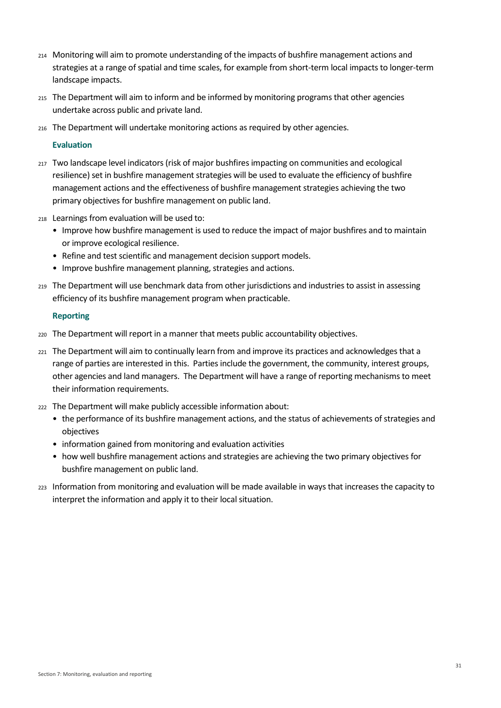- <sup>214</sup> Monitoring will aim to promote understanding of the impacts of bushfire management actions and strategies at a range of spatial and time scales, for example from short-term local impacts to longer-term landscape impacts.
- <sup>215</sup> The Department will aim to inform and be informed by monitoring programs that other agencies undertake across public and private land.
- <sup>216</sup> The Department will undertake monitoring actions as required by other agencies.

#### **Evaluation**

- <sup>217</sup> Two landscape level indicators (risk of major bushfires impacting on communities and ecological resilience) set in bushfire management strategies will be used to evaluate the efficiency of bushfire management actions and the effectiveness of bushfire management strategies achieving the two primary objectives for bushfire management on public land.
- <sup>218</sup> Learnings from evaluation will be used to:
	- Improve how bushfire management is used to reduce the impact of major bushfires and to maintain or improve ecological resilience.
	- Refine and test scientific and management decision support models.
	- Improve bushfire management planning, strategies and actions.
- <sup>219</sup> The Department will use benchmark data from other jurisdictions and industries to assist in assessing efficiency of its bushfire management program when practicable.

#### **Reporting**

- <sup>220</sup> The Department will report in a manner that meets public accountability objectives.
- <sup>221</sup> The Department will aim to continually learn from and improve its practices and acknowledges that a range of parties are interested in this. Parties include the government, the community, interest groups, other agencies and land managers. The Department will have a range of reporting mechanisms to meet their information requirements.
- <sup>222</sup> The Department will make publicly accessible information about:
	- the performance of its bushfire management actions, and the status of achievements of strategies and objectives
	- information gained from monitoring and evaluation activities
	- how well bushfire management actions and strategies are achieving the two primary objectives for bushfire management on public land.
- <sup>223</sup> Information from monitoring and evaluation will be made available in ways that increases the capacity to interpret the information and apply it to their local situation.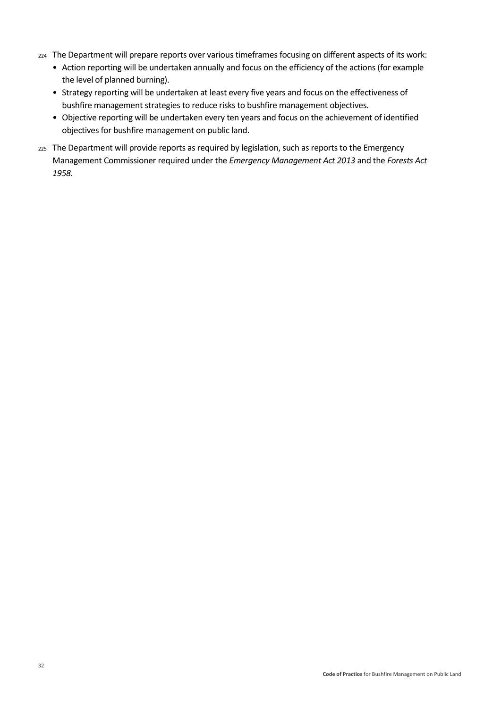- <sup>224</sup> The Department will prepare reports over various timeframes focusing on different aspects of its work:
	- Action reporting will be undertaken annually and focus on the efficiency of the actions (for example the level of planned burning).
	- Strategy reporting will be undertaken at least every five years and focus on the effectiveness of bushfire management strategies to reduce risks to bushfire management objectives.
	- Objective reporting will be undertaken every ten years and focus on the achievement of identified objectives for bushfire management on public land.
- <sup>225</sup> The Department will provide reports as required by legislation, such as reports to the Emergency Management Commissioner required under the *Emergency Management Act 2013* and the *Forests Act 1958.*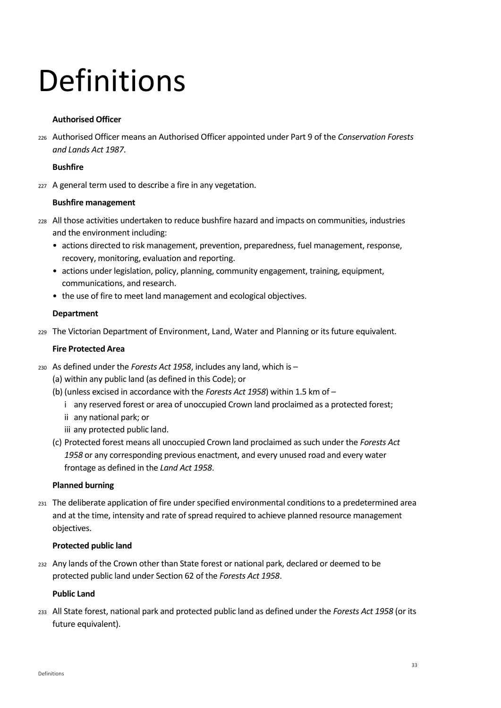# <span id="page-37-0"></span>Definitions

#### **Authorised Officer**

<sup>226</sup> Authorised Officer means an Authorised Officer appointed under Part 9 of the *Conservation Forests and Lands Act 1987*.

#### **Bushfire**

227 A general term used to describe a fire in any vegetation.

#### **Bushfire management**

- <sup>228</sup> All those activities undertaken to reduce bushfire hazard and impacts on communities, industries and the environment including:
	- actions directed to risk management, prevention, preparedness, fuel management, response, recovery, monitoring, evaluation and reporting.
	- actions under legislation, policy, planning, community engagement, training, equipment, communications, and research.
	- the use of fire to meet land management and ecological objectives.

#### **Department**

<sup>229</sup> The Victorian Department of Environment, Land, Water and Planning or its future equivalent.

#### **Fire Protected Area**

- <sup>230</sup> As defined under the *Forests Act 1958*, includes any land, which is
	- (a) within any public land (as defined in this Code); or
	- (b) (unless excised in accordance with the *Forests Act 1958*) within 1.5 km of
		- i any reserved forest or area of unoccupied Crown land proclaimed as a protected forest;
		- ii any national park; or
		- iii any protected public land.
	- (c) Protected forest means all unoccupied Crown land proclaimed as such under the *Forests Act 1958* or any corresponding previous enactment, and every unused road and every water frontage as defined in the *Land Act 1958*.

#### **Planned burning**

<sup>231</sup> The deliberate application of fire under specified environmental conditions to a predetermined area and at the time, intensity and rate of spread required to achieve planned resource management objectives.

#### **Protected public land**

<sup>232</sup> Any lands of the Crown other than State forest or national park, declared or deemed to be protected public land under Section 62 of the *Forests Act 1958*.

#### **Public Land**

<sup>233</sup> All State forest, national park and protected public land as defined under the *Forests Act 1958* (or its future equivalent).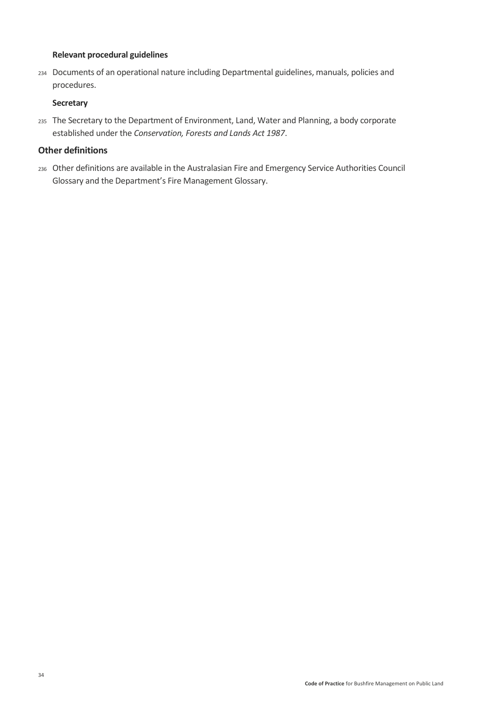#### **Relevant procedural guidelines**

<sup>234</sup> Documents of an operational nature including Departmental guidelines, manuals, policies and procedures.

#### **Secretary**

<sup>235</sup> The Secretary to the Department of Environment, Land, Water and Planning, a body corporate established under the *Conservation, Forests and Lands Act 1987*.

#### **Other definitions**

<sup>236</sup> Other definitions are available in the Australasian Fire and Emergency Service Authorities Council Glossary and the Department's Fire Management Glossary.